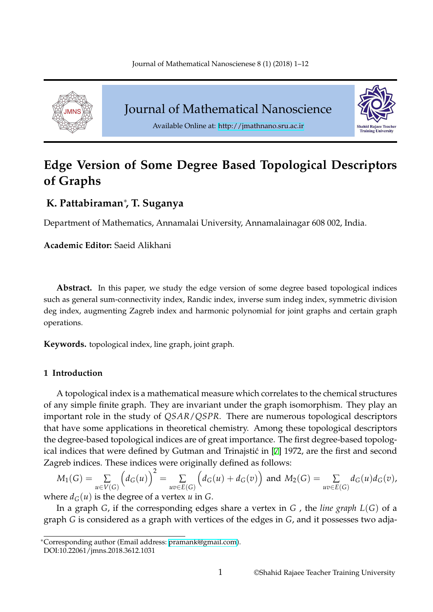<span id="page-0-0"></span>

Journal of Mathematical Nanoscience



Available Online at: http://jmathnano.sru.ac.ir

# **Edge Version of Some Degree [Based Topolog](http://jmathnano.sru.ac.ir)ical Descriptors of Graphs**

## **K. Pattabiraman***∗* **, T. Suganya**

Department of Mathematics, Annamalai University, Annamalainagar 608 002, India.

**Academic Editor:** Saeid Alikhani

**Abstract.** In this paper, we study the edge version of some degree based topological indices such as general sum-connectivity index, Randic index, inverse sum indeg index, symmetric division deg index, augmenting Zagreb index and harmonic polynomial for joint graphs and certain graph operations.

**Keywords.** topological index, line graph, joint graph.

## **1 Introduction**

A topological index is a mathematical measure which correlates to the chemical structures of any simple finite graph. They are invariant under the graph isomorphism. They play an important role in the study of *QSAR*/*QSPR*. There are numerous topological descriptors that have some applications in theoretical chemistry. Among these topological descriptors the degree-based topological indices are of great importance. The first degree-based topological indices that were defined by Gutman and Trinajstić in [7] 1972, are the first and second Zagreb indices. These indices were originally defined as follows:

$$
M_1(G) = \sum_{u \in V(G)} \left( d_G(u) \right)^2 = \sum_{uv \in E(G)} \left( d_G(u) + d_G(v) \right) \text{ and } M_2(G) = \sum_{uv \in E(G)} d_G(u) d_G(v),
$$

where  $d_G(u)$  is the degree of a vertex  $u$  in  $G$ .

In a graph *G*, if the corresponding edges share a vertex in *G* , the *line graph L*(*G*) of a graph *G* is considered as a graph with vertices of the edges in *G*, and it possesses two adja-

*<sup>∗</sup>*Corresponding author (Email address: pramank@gmail.com).

DOI:10.22061/jmns.2018.3612.1031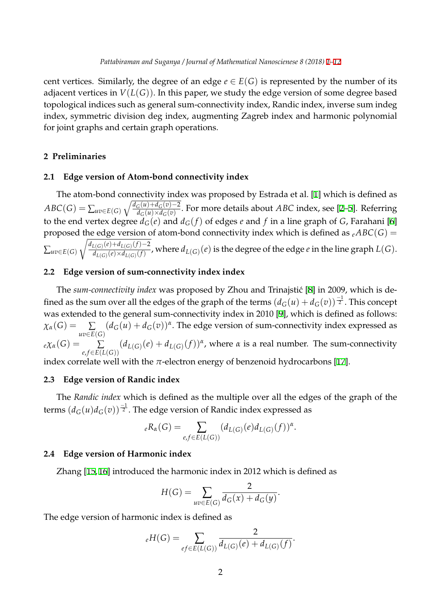cent vertices. Similarly, the degree of an edge  $e \in E(G)$  is represented by the number of its adjacent vertices in *V*(*L*(*G*)). In this paper, we study the edge version of [so](#page-0-0)[me](#page-11-0) degree based topological indices such as general sum-connectivity index, Randic index, inverse sum indeg index, symmetric division deg index, augmenting Zagreb index and harmonic polynomial for joint graphs and certain graph operations.

## **2 Preliminaries**

## **2.1 Edge version of Atom-bond connectivity index**

The atom-bond connectivity index was proposed by Estrada et al. [1] which is defined as *ABC*(*G*) =  $\sum_{uv \in E(G)} \sqrt{\frac{d_G(u) + d_G(v) - 2}{d_G(u) \times d_G(v)}}$  $\frac{G(u)+u_G(v)-2}{d_G(u)\times d_G(v)}$ . For more details about *ABC* index, see [2–5]. Referring to the end vertex degree  $d_G(e)$  and  $d_G(f)$  of edges *e* and *f* in a line graph of *G*, Farahani [6] proposed the edge version of atom-bond connectivity in[de](#page-11-1)x which is defined as  $_{e}ABC(G)$  = ∑*uv∈E*(*G*)  $\sqrt{d_{L(G)}(e) + d_{L(G)}(f) - 2}$  $d_{L(G)}^{L(G)}(e) \times d_{L(G)}(f)}$  $d_{L(G)}^{L(G)}(e) \times d_{L(G)}(f)}$  $d_{L(G)}^{L(G)}(e) \times d_{L(G)}(f)}$ , where  $d_{L(G)}(e)$  is the degree of the edge *e* [in](#page-11-2) the lin[e g](#page-11-3)raph  $L(G)$ .

## **2.2 Edge version of sum-connectivity index index**

The *sum-connectivity index* was proposed by Zhou and Trinajstić [8] in 2009, which is defined as the sum over all the edges of the graph of the terms  $(d_G(u) + d_G(v))^{\frac{-1}{2}}.$  This concept was extended to the general sum-connectivity index in 2010 [9], which is defined as follows:  $\chi_{\alpha}(G) = \sum$ *uv∈E*(*G*)  $(d_G(u) + d_G(v))^{\alpha}$ . The edge version of sum-connecti[vi](#page-11-5)ty index expressed as  $e\chi_{\alpha}(G) = \sum$ *e*, *f∈E*(*L*(*G*))  $(d_{L(G)}(e) + d_{L(G)}(f))^{\alpha}$ , where  $\alpha$  is a real [nu](#page-11-6)mber. The sum-connectivity index correlate well with the  $\pi$ -electron energy of benzenoid hydrocarbons [17].

## **2.3 Edge version of Randic index**

The *Randic index* which is defined as the multiple over all the edges of [the](#page-11-7) graph of the terms (*dG*(*u*)*dG*(*v*)) *<sup>−</sup>*<sup>1</sup> <sup>2</sup> . The edge version of Randic index expressed as

$$
{}_{e}R_{\alpha}(G) = \sum_{e,f \in E(L(G))} (d_{L(G)}(e)d_{L(G)}(f))^{\alpha}.
$$

## **2.4 Edge version of Harmonic index**

Zhang [15, 16] introduced the harmonic index in 2012 which is defined as

$$
H(G) = \sum_{uv \in E(G)} \frac{2}{d_G(x) + d_G(y)}.
$$

The edge version of harmonic index is defined as

$$
{}_{e}H(G) = \sum_{ef \in E(L(G))} \frac{2}{d_{L(G)}(e) + d_{L(G)}(f)}.
$$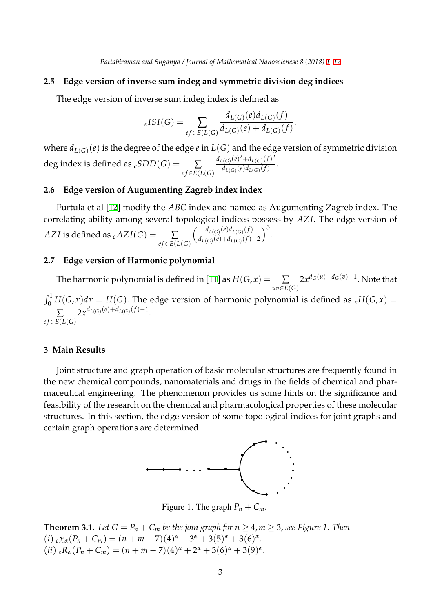#### **2.5 Edge version of inverse sum indeg and symmetric division deg indices**

The edge version of inverse sum indeg index is defined as

$$
{}_{e}ISI(G) = \sum_{ef \in E(L(G))} \frac{d_{L(G)}(e)d_{L(G)}(f)}{d_{L(G)}(e) + d_{L(G)}(f)}.
$$

where  $d_{L(G)}(e)$  is the degree of the edge  $e$  in  $L(G)$  and the edge version of symmetric division deg index is defined as  $_eSDD(G) = \sum$ *e f∈E*(*L*(*G*)  $d_{L(G)}(e)^{2} + d_{L(G)}(f)^{2}$  $\frac{d_{L(G)}(e)}{d_{L(G)}(e)d_{L(G)}(f)}$ .

#### **2.6 Edge version of Augumenting Zagreb index index**

Furtula et al [12] modify the *ABC* index and named as Augumenting Zagreb index. The correlating ability among several topological indices possess by *AZ I*. The edge version of *AZI* is defined as  $_{e}$ *AZI*(*G*) =  $\sum$ *e f∈E*(*L*(*G*)  $\int dL(G)(e)d_{L(G)}(f)$ *dL*(*G*) (*e*)+*dL*(*G*) (*f*)*−*2  $\big)^3$ .

#### **2.7 Edge version of Harmonic polynomial**

The harmonic polynomial is defined in [11] as  $H(G,x) = \sum_{\alpha}$ *uv∈E*(*G*)  $2x^{d_G(u)+d_G(v)-1}$ . Note that  $\int_0^1 H(G, x) dx = H(G)$ . The edge version of harmonic polynomial is defined as  $eH(G, x) =$ 

∑ *e f∈E*(*L*(*G*)  $2x^{d}L(G)(e)+d_{L(G)}(f)-1$ .

#### **3 Main Results**

Joint structure and graph operation of basic molecular structures are frequently found in the new chemical compounds, nanomaterials and drugs in the fields of chemical and pharmaceutical engineering. The phenomenon provides us some hints on the significance and feasibility of the research on the chemical and pharmacological properties of these molecular structures. In this section, the edge version of some topological indices for joint graphs and certain graph operations are determined.



Figure 1. The graph  $P_n + C_m$ .

**Theorem 3.1.** *Let*  $G = P_n + C_m$  *be the join graph for*  $n \geq 4, m \geq 3$ , *see Figure 1. Then*  $(i) e^{\chi_{\alpha}(P_n + C_m)} = (n + m - 7)(4)^{\alpha} + 3^{\alpha} + 3(5)^{\alpha} + 3(6)^{\alpha}.$  $(iii)$   ${}_{e}R_{\alpha}(P_{n} + C_{m}) = (n + m - 7)(4)^{\alpha} + 2^{\alpha} + 3(6)^{\alpha} + 3(9)^{\alpha}.$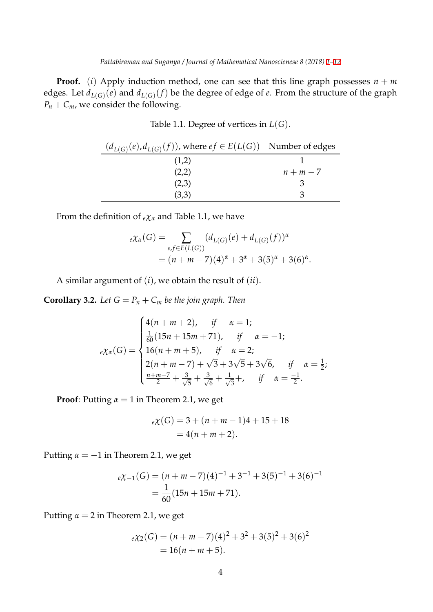**Proof.** (*i*) Apply induction method, one can see that this line graph possesses  $n + m$ edges. Let  $d_{L(G)}(e)$  and  $d_{L(G)}(f)$  be the degree of edge of  $e$ . From the str[uc](#page-0-0)[tur](#page-11-0)e of the graph  $P_n + C_m$ , we consider the following.

| $(d_{L(G)}(e), d_{L(G)}(f))$ , where $ef \in E(L(G))$ Number of edges |         |
|-----------------------------------------------------------------------|---------|
| (1,2)                                                                 |         |
| (2,2)                                                                 | $n+m-7$ |
| (2,3)                                                                 |         |
| (3,3)                                                                 |         |

Table 1.1. Degree of vertices in *L*(*G*).

From the definition of *<sup>e</sup>χ<sup>α</sup>* and Table 1.1, we have

$$
e\chi_{\alpha}(G) = \sum_{e,f \in E(L(G))} (d_{L(G)}(e) + d_{L(G)}(f))^{\alpha}
$$
  
=  $(n + m - 7)(4)^{\alpha} + 3^{\alpha} + 3(5)^{\alpha} + 3(6)^{\alpha}.$ 

A similar argument of (*i*), we obtain the result of (*ii*).

**Corollary 3.2.** *Let*  $G = P_n + C_m$  *be the join graph. Then* 

$$
e\chi_{\alpha}(G) = \begin{cases} 4(n+m+2), & \text{if } \alpha = 1; \\ \frac{1}{60}(15n+15m+71), & \text{if } \alpha = -1; \\ 16(n+m+5), & \text{if } \alpha = 2; \\ 2(n+m-7) + \sqrt{3} + 3\sqrt{5} + 3\sqrt{6}, & \text{if } \alpha = \frac{1}{2}; \\ \frac{n+m-7}{2} + \frac{3}{\sqrt{5}} + \frac{3}{\sqrt{6}} + \frac{1}{\sqrt{3}} +, & \text{if } \alpha = \frac{-1}{2}. \end{cases}
$$

**Proof**: Putting  $\alpha = 1$  in Theorem 2.1, we get

$$
e\chi(G) = 3 + (n + m - 1)4 + 15 + 18
$$
  
= 4(n + m + 2).

Putting *α* = *−*1 in Theorem 2.1, we get

$$
e\chi_{-1}(G) = (n + m - 7)(4)^{-1} + 3^{-1} + 3(5)^{-1} + 3(6)^{-1}
$$
  
=  $\frac{1}{60}(15n + 15m + 71).$ 

Putting  $\alpha = 2$  in Theorem 2.1, we get

$$
e\chi_2(G) = (n + m - 7)(4)^2 + 3^2 + 3(5)^2 + 3(6)^2
$$
  
= 16(n + m + 5).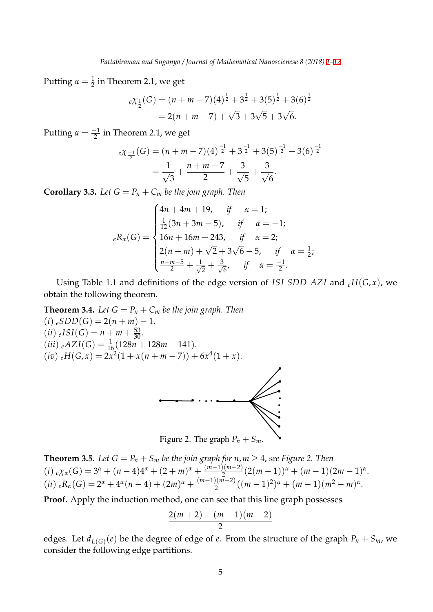Putting  $\alpha = \frac{1}{2}$  in Theorem 2.1, we get

$$
e\chi_{\frac{1}{2}}(G) = (n+m-7)(4)^{\frac{1}{2}} + 3^{\frac{1}{2}} + 3(5)^{\frac{1}{2}} + 3(6)^{\frac{1}{2}}
$$
  
= 2(n+m-7) +  $\sqrt{3}$  +  $3\sqrt{5}$  +  $3\sqrt{6}$ .

Putting  $\alpha = \frac{-1}{2}$  in Theorem 2.1, we get

$$
eX_{\frac{-1}{2}}(G) = (n+m-7)(4)^{\frac{-1}{2}} + 3^{\frac{-1}{2}} + 3(5)^{\frac{-1}{2}} + 3(6)^{\frac{-1}{2}}
$$

$$
= \frac{1}{\sqrt{3}} + \frac{n+m-7}{2} + \frac{3}{\sqrt{5}} + \frac{3}{\sqrt{6}}.
$$

**Corollary 3.3.** Let  $G = P_n + C_m$  be the join graph. Then

$$
{}_{e}R_{\alpha}(G) = \begin{cases} 4n + 4m + 19, & \text{if } \alpha = 1; \\ \frac{1}{12}(3n + 3m - 5), & \text{if } \alpha = -1; \\ 16n + 16m + 243, & \text{if } \alpha = 2; \\ 2(n + m) + \sqrt{2} + 3\sqrt{6} - 5, & \text{if } \alpha = \frac{1}{2}; \\ \frac{n + m - 5}{2} + \frac{1}{\sqrt{2}} + \frac{3}{\sqrt{6}}, & \text{if } \alpha = \frac{-1}{2}. \end{cases}
$$

Using Table 1.1 and definitions of the edge version of *ISI SDD AZI* and  $_{e}H(G, x)$ , we obtain the following theorem.

**Theorem 3.4.** Let  $G = P_n + C_m$  be the join graph. Then  $(i) \, eSDD(G) = 2(n+m) - 1.$  $(ii)$   $_{e}ISI(G) = n + m + \frac{53}{30}.$  $(iii)$   $_e$ AZI(*G*) =  $\frac{1}{16}$ (128*n* + 128*m* − 141).  $(iv) eH(G, x) = 2x^2(1 + x(n + m - 7)) + 6x^4(1 + x).$ 



**Theorem 3.5.** *Let*  $G = P_n + S_m$  *be the join graph for n, m*  $\geq$  4*, see Figure 2. Then*  $(i) e \chi_{\alpha}(G) = 3^{\alpha} + (n-4)4^{\alpha} + (2+m)^{\alpha} + \frac{(m-1)(m-2)}{n^2}(2(m-1))^{\alpha} + (m-1)(2m-1)^{\alpha}.$ (ii)  ${}_{e}R_{\alpha}(G) = 2^{\alpha} + 4^{\alpha}(n-4) + (2m)^{\alpha} + \frac{(m-1)(m-2)}{2}((m-1)^{2})^{\alpha} + (m-1)(m^{2}-m)^{\alpha}.$ 

**Proof.** Apply the induction method, one can see that this line graph possesses

$$
\frac{2(m+2)+(m-1)(m-2)}{2}
$$

edges. Let  $d_{L(G)}(e)$  be the degree of edge of  $e$ . From the structure of the graph  $P_n + S_m$ , we consider the following edge partitions.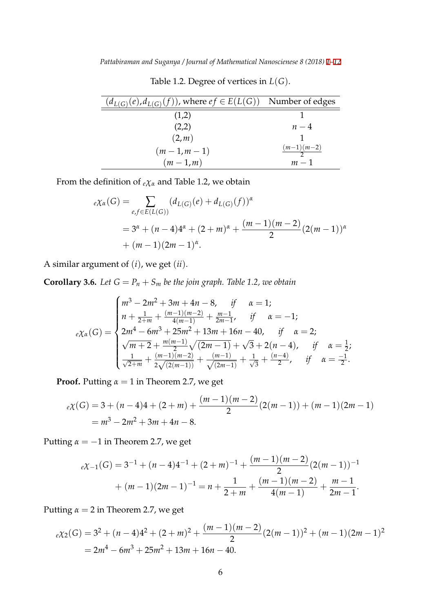| $(d_{L(G)}(e), d_{L(G)}(f))$ , where $ef \in E(L(G))$ Number of edges |                          |
|-----------------------------------------------------------------------|--------------------------|
| (1,2)                                                                 |                          |
| (2,2)                                                                 | $n-4$                    |
| (2,m)                                                                 |                          |
| $(m-1,m-1)$                                                           | $\frac{(m-1)(m-2)}{m-2}$ |
| $(m-1,m)$                                                             | $m-1$                    |

Table 1.2. Degree of vertices in *L*(*G*).

From the definition of  $e\chi_{\alpha}$  and Table 1.2, we obtain

$$
e\chi_{\alpha}(G) = \sum_{e,f \in E(L(G))} (d_{L(G)}(e) + d_{L(G)}(f))^{\alpha}
$$
  
=  $3^{\alpha} + (n-4)4^{\alpha} + (2+m)^{\alpha} + \frac{(m-1)(m-2)}{2} (2(m-1))^{\alpha}$   
+  $(m-1)(2m-1)^{\alpha}$ .

A similar argument of (*i*), we get (*ii*).

**Corollary 3.6.** *Let*  $G = P_n + S_m$  *be the join graph. Table 1.2, we obtain* 

$$
e\chi_{\alpha}(G) = \begin{cases} m^3 - 2m^2 + 3m + 4n - 8, & \text{if } \alpha = 1; \\ n + \frac{1}{2+m} + \frac{(m-1)(m-2)}{4(m-1)} + \frac{m-1}{2m-1}, & \text{if } \alpha = -1; \\ 2m^4 - 6m^3 + 25m^2 + 13m + 16n - 40, & \text{if } \alpha = 2; \\ \sqrt{m+2} + \frac{m(m-1)}{2}\sqrt{(2m-1)} + \sqrt{3} + 2(n-4), & \text{if } \alpha = \frac{1}{2}; \\ \frac{1}{\sqrt{2+m}} + \frac{(m-1)(m-2)}{2\sqrt{(2(m-1))}} + \frac{(m-1)}{\sqrt{(2m-1)}} + \frac{1}{\sqrt{3}} + \frac{(n-4)}{2}, & \text{if } \alpha = \frac{-1}{2}. \end{cases}
$$

**Proof.** Putting  $\alpha = 1$  in Theorem 2.7, we get

$$
e\chi(G) = 3 + (n-4)4 + (2+m) + \frac{(m-1)(m-2)}{2}(2(m-1)) + (m-1)(2m-1)
$$
  
=  $m^3 - 2m^2 + 3m + 4n - 8$ .

Putting *α* = *−*1 in Theorem 2.7, we get

$$
e\chi_{-1}(G) = 3^{-1} + (n-4)4^{-1} + (2+m)^{-1} + \frac{(m-1)(m-2)}{2}(2(m-1))^{-1}
$$

$$
+ (m-1)(2m-1)^{-1} = n + \frac{1}{2+m} + \frac{(m-1)(m-2)}{4(m-1)} + \frac{m-1}{2m-1}.
$$

Putting  $\alpha = 2$  in Theorem 2.7, we get

$$
e\chi_2(G) = 3^2 + (n-4)4^2 + (2+m)^2 + \frac{(m-1)(m-2)}{2}(2(m-1))^2 + (m-1)(2m-1)^2
$$
  
= 2m<sup>4</sup> - 6m<sup>3</sup> + 25m<sup>2</sup> + 13m + 16n - 40.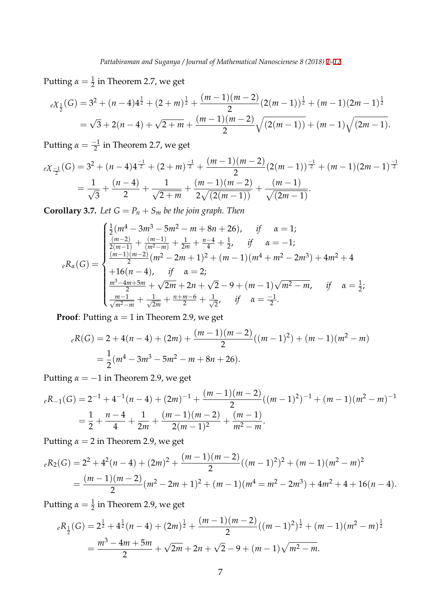Putting  $\alpha = \frac{1}{2}$  in Theorem 2.7, we get

$$
eX_{\frac{1}{2}}(G) = 3^2 + (n-4)4^{\frac{1}{2}} + (2+m)^{\frac{1}{2}} + \frac{(m-1)(m-2)}{2}(2(m-1))^{\frac{1}{2}} + (m-1)(2m-1)^{\frac{1}{2}}
$$
  
=  $\sqrt{3} + 2(n-4) + \sqrt{2+m} + \frac{(m-1)(m-2)}{2} \sqrt{(2(m-1))} + (m-1)\sqrt{(2m-1)}$ .

Putting  $\alpha = \frac{-1}{2}$  in Theorem 2.7, we get

$$
e\chi_{\frac{-1}{2}}(G) = 3^2 + (n-4)4^{\frac{-1}{2}} + (2+m)^{\frac{-1}{2}} + \frac{(m-1)(m-2)}{2}(2(m-1))^{\frac{-1}{2}} + (m-1)(2m-1)^{\frac{-1}{2}}
$$
  
=  $\frac{1}{\sqrt{3}} + \frac{(n-4)}{2} + \frac{1}{\sqrt{2+m}} + \frac{(m-1)(m-2)}{2\sqrt{(2(m-1))}} + \frac{(m-1)}{\sqrt{(2m-1)}}.$ 

**Corollary 3.7.** *Let*  $G = P_n + S_m$  *be the join graph. Then* 

$$
{}_{e}R_{\alpha}(G) = \begin{cases} \frac{1}{2}(m^{4} - 3m^{3} - 5m^{2} - m + 8n + 26), & \text{if } \alpha = 1; \\ \frac{(m-2)}{2(m-1)} + \frac{(m-1)}{(m^{2}-m)} + \frac{1}{2m} + \frac{n-4}{4} + \frac{1}{2}, & \text{if } \alpha = -1; \\ \frac{(m-1)(m-2)}{2}(m^{2} - 2m + 1)^{2} + (m-1)(m^{4} + m^{2} - 2m^{3}) + 4m^{2} + 4 \\ + 16(n-4), & \text{if } \alpha = 2; \\ \frac{m^{3} - 4m + 5m}{2} + \sqrt{2m} + 2n + \sqrt{2} - 9 + (m-1)\sqrt{m^{2} - m}, & \text{if } \alpha = \frac{1}{2}; \\ \frac{m-1}{\sqrt{m^{2}-m}} + \frac{1}{\sqrt{2m}} + \frac{n+m-6}{2} + \frac{1}{\sqrt{2}}, & \text{if } \alpha = \frac{-1}{2}. \end{cases}
$$

**Proof**: Putting  $\alpha = 1$  in Theorem 2.9, we get

$$
{}_{e}R(G) = 2 + 4(n - 4) + (2m) + \frac{(m - 1)(m - 2)}{2}((m - 1)^{2}) + (m - 1)(m^{2} - m)
$$
  
=  $\frac{1}{2}(m^{4} - 3m^{3} - 5m^{2} - m + 8n + 26).$ 

Putting  $\alpha = -1$  in Theorem 2.9, we get

$$
{}_{e}R_{-1}(G) = 2^{-1} + 4^{-1}(n-4) + (2m)^{-1} + \frac{(m-1)(m-2)}{2}((m-1)^{2})^{-1} + (m-1)(m^{2} - m)^{-1}
$$
  
=  $\frac{1}{2} + \frac{n-4}{4} + \frac{1}{2m} + \frac{(m-1)(m-2)}{2(m-1)^{2}} + \frac{(m-1)}{m^{2} - m}.$ 

Putting  $\alpha = 2$  in Theorem 2.9, we get

$$
{}_{e}R_{2}(G) = 2^{2} + 4^{2}(n - 4) + (2m)^{2} + \frac{(m - 1)(m - 2)}{2}((m - 1)^{2})^{2} + (m - 1)(m^{2} - m)^{2}
$$
  
= 
$$
\frac{(m - 1)(m - 2)}{2}(m^{2} - 2m + 1)^{2} + (m - 1)(m^{4} = m^{2} - 2m^{3}) + 4m^{2} + 4 + 16(n - 4).
$$

Putting  $\alpha = \frac{1}{2}$  in Theorem 2.9, we get

$$
{}_{e}R_{\frac{1}{2}}(G) = 2^{\frac{1}{2}} + 4^{\frac{1}{2}}(n-4) + (2m)^{\frac{1}{2}} + \frac{(m-1)(m-2)}{2}((m-1)^{2})^{\frac{1}{2}} + (m-1)(m^{2}-m)^{\frac{1}{2}}
$$
  
= 
$$
\frac{m^{3} - 4m + 5m}{2} + \sqrt{2m} + 2n + \sqrt{2} - 9 + (m-1)\sqrt{m^{2}-m}.
$$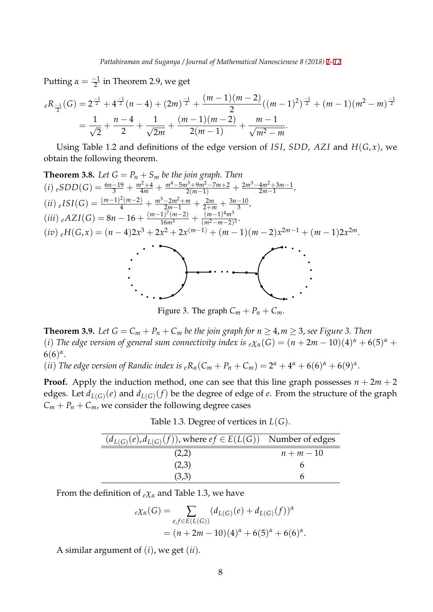Putting  $\alpha = \frac{-1}{2}$  in Theorem 2.9, we get

$$
{}_{e}R_{\frac{-1}{2}}(G) = 2^{\frac{-1}{2}} + 4^{\frac{-1}{2}}(n-4) + (2m)^{\frac{-1}{2}} + \frac{(m-1)(m-2)}{2}((m-1)^{2})^{\frac{-1}{2}} + (m-1)(m^{2} - m)^{\frac{-1}{2}}
$$
  
=  $\frac{1}{\sqrt{2}} + \frac{n-4}{2} + \frac{1}{\sqrt{2m}} + \frac{(m-1)(m-2)}{2(m-1)} + \frac{m-1}{\sqrt{m^{2} - m}}.$ 

Using Table 1.2 and definitions of the edge version of *ISI*, *SDD*, *AZ I* and *H*(*G*, *x*), we obtain the following theorem.

Theorem 3.8. Let 
$$
G = P_n + S_m
$$
 be the join graph. Then  
\n(i)  $eSDD(G) = \frac{6n-19}{3} + \frac{m^2+4}{4m} + \frac{m^4-5m^3+9m^2-7m+2}{2(m-1)} + \frac{2m^3-4m^2+3m-1}{2m-1}$ ,  
\n(ii)  $eISI(G) = \frac{(m-1)^2(m-2)}{4} + \frac{m^3-2m^2+m}{2m-1} + \frac{2m}{2+m} + \frac{3n-10}{3}$ ,  
\n(iii)  $eAZI(G) = 8n - 16 + \frac{(m-1)^7(m-2)}{16m^3} + \frac{(m-1)^4m^3}{(m^2-m-2)^3}$ .  
\n(iv)  $eH(G,x) = (n-4)2x^3 + 2x^2 + 2x^{(m-1)} + (m-1)(m-2)x^{2m-1} + (m-1)2x^{2m}$ .

Figure 3. The graph  $C_m + P_n + C_m$ .

**Theorem 3.9.** *Let*  $G = C_m + P_n + C_m$  *be the join graph for*  $n \geq 4, m \geq 3$ , *see Figure 3. Then* (*i*) *The edge version of general sum connectivity index is*  $e\chi_a(G) = (n + 2m - 10)(4)^a + 6(5)^a +$  $6(6)^{\alpha}$ .

(*ii*) *The edge version of Randic index is*  ${}_{e}R_{\alpha}(C_{m} + P_{n} + C_{m}) = 2^{\alpha} + 4^{\alpha} + 6(6)^{\alpha} + 6(9)^{\alpha}$ .

**Proof.** Apply the induction method, one can see that this line graph possesses  $n + 2m + 2$ edges. Let  $d_{L(G)}(e)$  and  $d_{L(G)}(f)$  be the degree of edge of  $e$ . From the structure of the graph  $C_m + P_n + C_m$ , we consider the following degree cases

Table 1.3. Degree of vertices in *L*(*G*).

| $(d_{L(G)}(e), d_{L(G)}(f))$ , where $ef \in E(L(G))$ Number of edges |          |
|-----------------------------------------------------------------------|----------|
| (2,2)                                                                 | $n+m-10$ |
| (2,3)                                                                 |          |
| (3,3)                                                                 |          |

From the definition of  $eX_\alpha$  and Table 1.3, we have

$$
e\chi_{\alpha}(G) = \sum_{e,f \in E(L(G))} (d_{L(G)}(e) + d_{L(G)}(f))^{\alpha}
$$
  
=  $(n + 2m - 10)(4)^{\alpha} + 6(5)^{\alpha} + 6(6)^{\alpha}$ .

A similar argument of (*i*), we get (*ii*).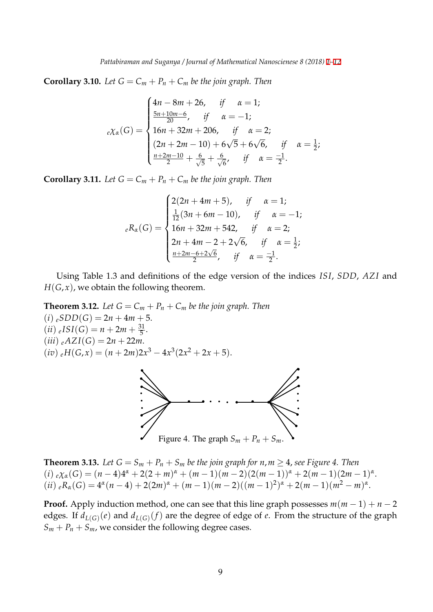**Corollary 3.10.** *Let*  $G = C_m + P_n + C_m$  *be the join graph. Then* 

$$
e\chi_{\alpha}(G) = \begin{cases} 4n - 8m + 26, & \text{if } \alpha = 1; \\ \frac{5n + 10m - 6}{20}, & \text{if } \alpha = -1; \\ 16n + 32m + 206, & \text{if } \alpha = 2; \\ (2n + 2m - 10) + 6\sqrt{5} + 6\sqrt{6}, & \text{if } \alpha = \frac{1}{2}; \\ \frac{n + 2m - 10}{2} + \frac{6}{\sqrt{5}} + \frac{6}{\sqrt{6}}, & \text{if } \alpha = \frac{-1}{2}. \end{cases}
$$

**Corollary 3.11.** Let  $G = C_m + P_n + C_m$  be the join graph. Then

$$
{}_{e}R_{\alpha}(G) = \begin{cases} 2(2n + 4m + 5), & \text{if } \alpha = 1; \\ \frac{1}{12}(3n + 6m - 10), & \text{if } \alpha = -1; \\ 16n + 32m + 542, & \text{if } \alpha = 2; \\ 2n + 4m - 2 + 2\sqrt{6}, & \text{if } \alpha = \frac{1}{2}; \\ \frac{n + 2m - 6 + 2\sqrt{6}}{2}, & \text{if } \alpha = \frac{-1}{2}. \end{cases}
$$

Using Table 1.3 and definitions of the edge version of the indices *ISI*, *SDD*, *AZ I* and  $H(G, x)$ , we obtain the following theorem.

**Theorem 3.12.** *Let*  $G = C_m + P_n + C_m$  *be the join graph. Then*  $(i)$   $_eSDD(G) = 2n + 4m + 5.$  $(ii)$   $_{e}ISI(G) = n + 2m + \frac{31}{5}.$  $(iii)$   ${}_{e}AZI(G) = 2n + 22m$ .  $(iv) eH(G, x) = (n + 2m)2x^3 - 4x^3(2x^2 + 2x + 5).$ 



**Theorem 3.13.** Let  $G = S_m + P_n + S_m$  be the join graph for  $n, m \geq 4$ , see Figure 4. Then (i)  $e\chi_{\alpha}(G) = (n-4)4^{\alpha} + 2(2+m)^{\alpha} + (m-1)(m-2)(2(m-1))^{\alpha} + 2(m-1)(2m-1)^{\alpha}.$ (ii)  ${}_{e}R_{\alpha}(G) = 4^{\alpha}(n-4) + 2(2m)^{\alpha} + (m-1)(m-2)((m-1)^{2})^{\alpha} + 2(m-1)(m^{2}-m)^{\alpha}.$ 

**Proof.** Apply induction method, one can see that this line graph possesses  $m(m-1) + n-2$ edges. If  $d_{L(G)}(e)$  and  $d_{L(G)}(f)$  are the degree of edge of  $e$ . From the structure of the graph  $S_m + P_n + S_m$ , we consider the following degree cases.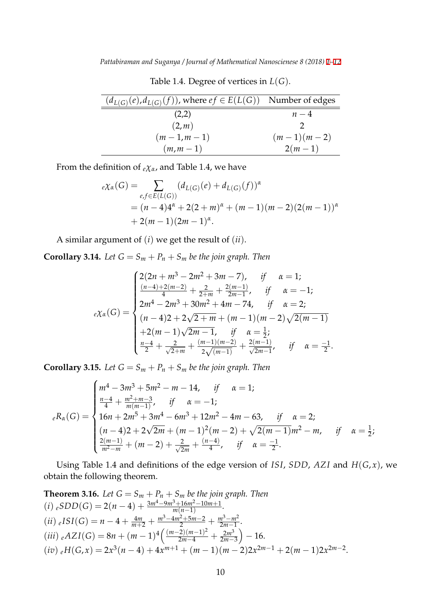Table 1.4. Degree of vertices in *L*(*G*).

| $(d_{L(G)}(e), d_{L(G)}(f))$ , where $ef \in E(L(G))$ Number of edges |              |
|-----------------------------------------------------------------------|--------------|
| (2,2)                                                                 | $n-4$        |
| (2,m)                                                                 |              |
| $(m-1,m-1)$                                                           | $(m-1)(m-2)$ |
| $(m,m-1)$                                                             | $2(m-1)$     |

From the definition of *<sup>e</sup>χα*, and Table 1.4, we have

$$
e\chi_{\alpha}(G) = \sum_{e,f \in E(L(G))} (d_{L(G)}(e) + d_{L(G)}(f))^{\alpha}
$$
  
=  $(n-4)4^{\alpha} + 2(2+m)^{\alpha} + (m-1)(m-2)(2(m-1))^{\alpha}$   
+  $2(m-1)(2m-1)^{\alpha}$ .

A similar argument of (*i*) we get the result of (*ii*).

**Corollary 3.14.** *Let*  $G = S_m + P_n + S_m$  *be the join graph. Then* 

$$
e\chi_{\alpha}(G) = \begin{cases} 2(2n + m^3 - 2m^2 + 3m - 7), & \text{if } \alpha = 1; \\ \frac{(n-4) + 2(m-2)}{4} + \frac{2}{2+m} + \frac{2(m-1)}{2m-1}, & \text{if } \alpha = -1; \\ 2m^4 - 2m^3 + 30m^2 + 4m - 74, & \text{if } \alpha = 2; \\ (n-4)2 + 2\sqrt{2+m} + (m-1)(m-2)\sqrt{2(m-1)} \\ + 2(m-1)\sqrt{2m-1}, & \text{if } \alpha = \frac{1}{2}; \\ \frac{n-4}{2} + \frac{2}{\sqrt{2+m}} + \frac{(m-1)(m-2)}{2\sqrt{(m-1)}} + \frac{2(m-1)}{\sqrt{2m-1}}, & \text{if } \alpha = \frac{-1}{2}. \end{cases}
$$

**Corollary 3.15.** Let  $G = S_m + P_n + S_m$  be the join graph. Then

$$
{}_{e}R_{\alpha}(G) = \begin{cases} m^{4} - 3m^{3} + 5m^{2} - m - 14, & \text{if } \alpha = 1; \\ \frac{n-4}{4} + \frac{m^{2} + m - 3}{m(m-1)}, & \text{if } \alpha = -1; \\ 16n + 2m^{5} + 3m^{4} - 6m^{3} + 12m^{2} - 4m - 63, & \text{if } \alpha = 2; \\ (n-4)2 + 2\sqrt{2m} + (m-1)^{2}(m-2) + \sqrt{2(m-1)}m^{2} - m, & \text{if } \alpha = \frac{1}{2}; \\ \frac{2(m-1)}{m^{2} - m} + (m-2) + \frac{2}{\sqrt{2m}} + \frac{(n-4)}{4}, & \text{if } \alpha = \frac{-1}{2}. \end{cases}
$$

Using Table 1.4 and definitions of the edge version of *ISI*, *SDD*, *AZ I* and *H*(*G*, *x*), we obtain the following theorem.

**Theorem 3.16.** Let 
$$
G = S_m + P_n + S_m
$$
 be the join graph. Then  
\n(i)  $eSDD(G) = 2(n-4) + \frac{3m^4 - 9m^3 + 16m^2 - 10m + 1}{m(n-1)}$ .  
\n(ii)  $eISI(G) = n - 4 + \frac{4m}{m+2} + \frac{m^3 - 4m^2 + 5m - 2}{2} + \frac{m^3 - m^2}{2m - 1}$ .  
\n(iii)  $eAZI(G) = 8n + (m-1)^4 \left( \frac{(m-2)(m-1)^2}{2m-4} + \frac{2m^3}{2m-3} \right) - 16$ .  
\n(iv)  $eH(G,x) = 2x^3(n-4) + 4x^{m+1} + (m-1)(m-2)2x^{2m-1} + 2(m-1)2x^{2m-2}$ .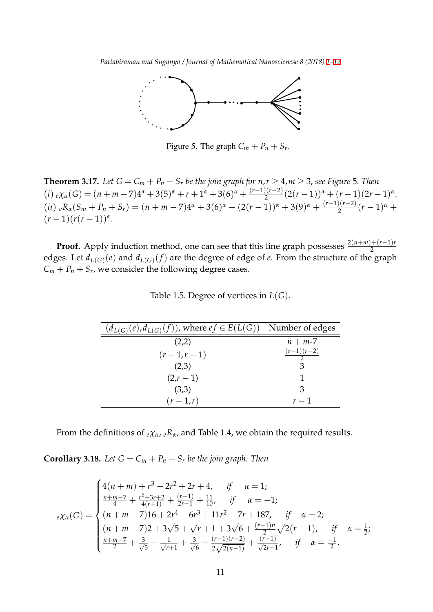

Figure 5. The graph  $C_m + P_n + S_r$ .

**Theorem 3.17.** *Let*  $G = C_m + P_n + S_r$  *be the join graph for*  $n, r \geq 4, m \geq 3$ *, see Figure* 5. *Then* (i)  $e\chi_{\alpha}(G) = (n+m-7)4^{\alpha} + 3(5)^{\alpha} + r + 1^{\alpha} + 3(6)^{\alpha} + \frac{(r-1)(r-2)}{2}(2(r-1))^{\alpha} + (r-1)(2r-1)^{\alpha}.$ (ii)  ${}_{e}R_{\alpha}(S_m + P_n + S_r) = (n + m - 7)4^{\alpha} + 3(6)^{\alpha} + (2(r - 1))^{\alpha} + 3(9)^{\alpha} + \frac{(r-1)(r-2)}{2}(r-1)^{\alpha} +$  $(r-1)(r(r-1))^{\alpha}$ .

**Proof.** Apply induction method, one can see that this line graph possesses  $\frac{2(n+m)+(r-1)r}{2}$ edges. Let  $d_{L(G)}(e)$  and  $d_{L(G)}(f)$  are the degree of edge of  $e$ . From the structure of the graph  $C_m + P_n + S_r$ , we consider the following degree cases.

| $(d_{L(G)}(e), d_{L(G)}(f))$ , where $ef \in E(L(G))$ Number of edges |                          |
|-----------------------------------------------------------------------|--------------------------|
| (2,2)                                                                 | $n + m-7$                |
| $(r-1,r-1)$                                                           | $\frac{(r-1)(r-2)}{r-2}$ |
| (2,3)                                                                 |                          |
| $(2,r-1)$                                                             |                          |
| (3,3)                                                                 | 3                        |
| $(r-1,r)$                                                             | $r-1$                    |

Table 1.5. Degree of vertices in *L*(*G*).

From the definitions of  $e\chi_{\alpha}$ ,  $eR_{\alpha}$ , and Table 1.4, we obtain the required results.

**Corollary 3.18.** Let  $G = C_m + P_n + S_r$  be the join graph. Then

$$
e\chi_{\alpha}(G) = \begin{cases} 4(n+m) + r^3 - 2r^2 + 2r + 4, & \text{if } \alpha = 1; \\ \frac{n+m-7}{4} + \frac{r^2 + 3r + 2}{4(r+1)} + \frac{(r-1)}{2r-1} + \frac{11}{10}, & \text{if } \alpha = -1; \\ (n+m-7)16 + 2r^4 - 6r^3 + 11r^2 - 7r + 187, & \text{if } \alpha = 2; \\ (n+m-7)2 + 3\sqrt{5} + \sqrt{r+1} + 3\sqrt{6} + \frac{(r-1)n}{2}\sqrt{2(r-1)}, & \text{if } \alpha = \frac{1}{2}; \\ \frac{n+m-7}{2} + \frac{3}{\sqrt{5}} + \frac{1}{\sqrt{r+1}} + \frac{3}{\sqrt{6}} + \frac{(r-1)(r-2)}{2\sqrt{2(n-1)}} + \frac{(r-1)}{\sqrt{2r-1}}, & \text{if } \alpha = \frac{-1}{2}. \end{cases}
$$